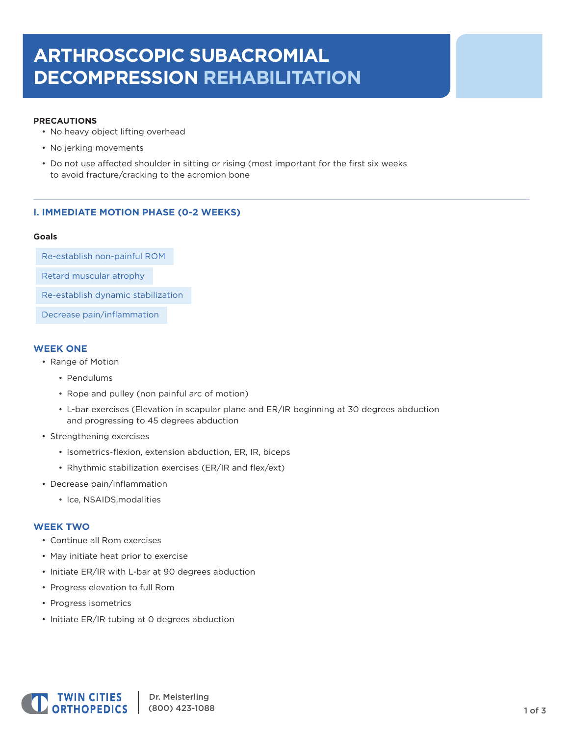# **ARTHROSCOPIC SUBACROMIAL DECOMPRESSION REHABILITATION**

## **PRECAUTIONS**

- No heavy object lifting overhead
- No jerking movements
- Do not use affected shoulder in sitting or rising (most important for the first six weeks to avoid fracture/cracking to the acromion bone

# **I. IMMEDIATE MOTION PHASE (0-2 WEEKS)**

#### **Goals**

Re-establish non-painful ROM

Retard muscular atrophy

Re-establish dynamic stabilization

Decrease pain/inflammation

# **WEEK ONE**

- Range of Motion
	- Pendulums
	- Rope and pulley (non painful arc of motion)
	- L-bar exercises (Elevation in scapular plane and ER/IR beginning at 30 degrees abduction and progressing to 45 degrees abduction
- Strengthening exercises
	- Isometrics-flexion, extension abduction, ER, IR, biceps
	- Rhythmic stabilization exercises (ER/IR and flex/ext)
- Decrease pain/inflammation
	- Ice, NSAIDS,modalities

# **WEEK TWO**

- Continue all Rom exercises
- May initiate heat prior to exercise
- Initiate ER/IR with L-bar at 90 degrees abduction
- Progress elevation to full Rom
- Progress isometrics
- Initiate ER/IR tubing at 0 degrees abduction

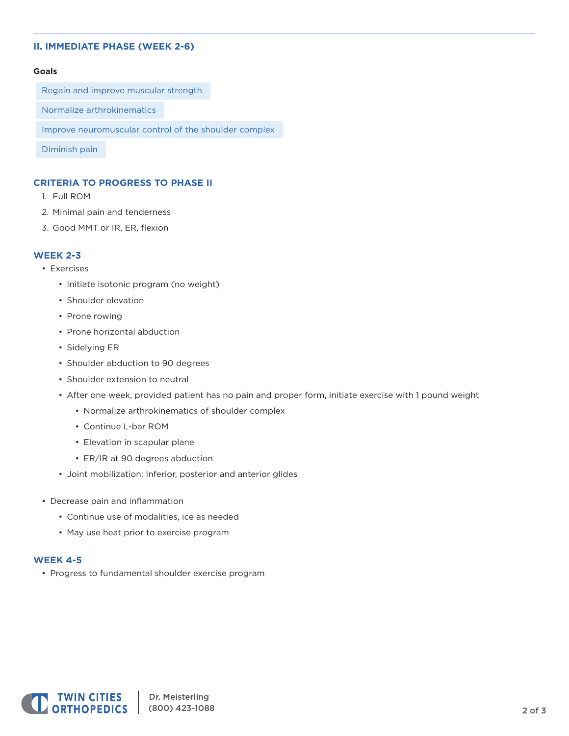# **II. IMMEDIATE PHASE (WEEK 2-6)**

#### **Goals**

Regain and improve muscular strength

Normalize arthrokinematics

Improve neuromuscular control of the shoulder complex

Diminish pain

# **CRITERIA TO PROGRESS TO PHASE II**

- 1. Full ROM
- 2. Minimal pain and tenderness
- 3. Good MMT or IR, ER, flexion

# **WEEK 2-3**

- Exercises
	- Initiate isotonic program (no weight)
	- Shoulder elevation
	- Prone rowing
	- Prone horizontal abduction
	- Sidelying ER
	- Shoulder abduction to 90 degrees
	- Shoulder extension to neutral
	- After one week, provided patient has no pain and proper form, initiate exercise with 1 pound weight
		- Normalize arthrokinematics of shoulder complex
		- Continue L-bar ROM
		- Elevation in scapular plane
		- ER/IR at 90 degrees abduction
	- Joint mobilization: Inferior, posterior and anterior glides
- Decrease pain and inflammation
	- Continue use of modalities, ice as needed
	- May use heat prior to exercise program

#### **WEEK 4-5**

• Progress to fundamental shoulder exercise program